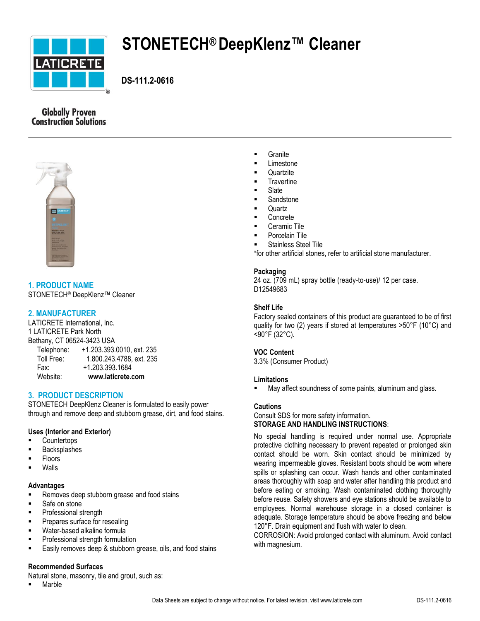

# **STONETECH® DeepKlenz™ Cleaner**

 **DS-111.2-0616**

# **Globally Proven Construction Solutions**



**1. PRODUCT NAME** STONETECH® DeepKlenz™ Cleaner

# **2. MANUFACTURER**

LATICRETE International, Inc. 1 LATICRETE Park North Bethany, CT 06524-3423 USA Telephone: +1.203.393.0010, ext. 235 Toll Free: 1.800.243.4788, ext. 235 Fax: +1.203.393.1684 Website: **www.laticrete.com**

# **3. PRODUCT DESCRIPTION**

STONETECH DeepKlenz Cleaner is formulated to easily power through and remove deep and stubborn grease, dirt, and food stains.

## **Uses (Interior and Exterior)**

- **Countertops**
- Backsplashes
- Floors
- Walls

## **Advantages**

- **Removes deep stubborn grease and food stains**
- Safe on stone
- **Professional strength**
- Prepares surface for resealing
- Water-based alkaline formula
- **Professional strength formulation**
- Easily removes deep & stubborn grease, oils, and food stains

## **Recommended Surfaces**

Natural stone, masonry, tile and grout, such as:

**•** Marble

- **Granite**
- Limestone
- **Quartzite**
- **Travertine**
- Slate
- Sandstone
- **Quartz**
- Concrete
- Ceramic Tile
- Porcelain Tile
- Stainless Steel Tile

\*for other artificial stones, refer to artificial stone manufacturer.

## **Packaging**

24 oz. (709 mL) spray bottle (ready-to-use)/ 12 per case. D12549683

## **Shelf Life**

Factory sealed containers of this product are guaranteed to be of first quality for two (2) years if stored at temperatures >50°F (10°C) and <90°F (32°C).

## **VOC Content**

3.3% (Consumer Product)

## **Limitations**

May affect soundness of some paints, aluminum and glass.

## **Cautions**

Consult SDS for more safety information. **STORAGE AND HANDLING INSTRUCTIONS**:

No special handling is required under normal use. Appropriate protective clothing necessary to prevent repeated or prolonged skin contact should be worn. Skin contact should be minimized by wearing impermeable gloves. Resistant boots should be worn where spills or splashing can occur. Wash hands and other contaminated areas thoroughly with soap and water after handling this product and before eating or smoking. Wash contaminated clothing thoroughly before reuse. Safety showers and eye stations should be available to employees. Normal warehouse storage in a closed container is adequate. Storage temperature should be above freezing and below 120°F. Drain equipment and flush with water to clean.

CORROSION: Avoid prolonged contact with aluminum. Avoid contact with magnesium.